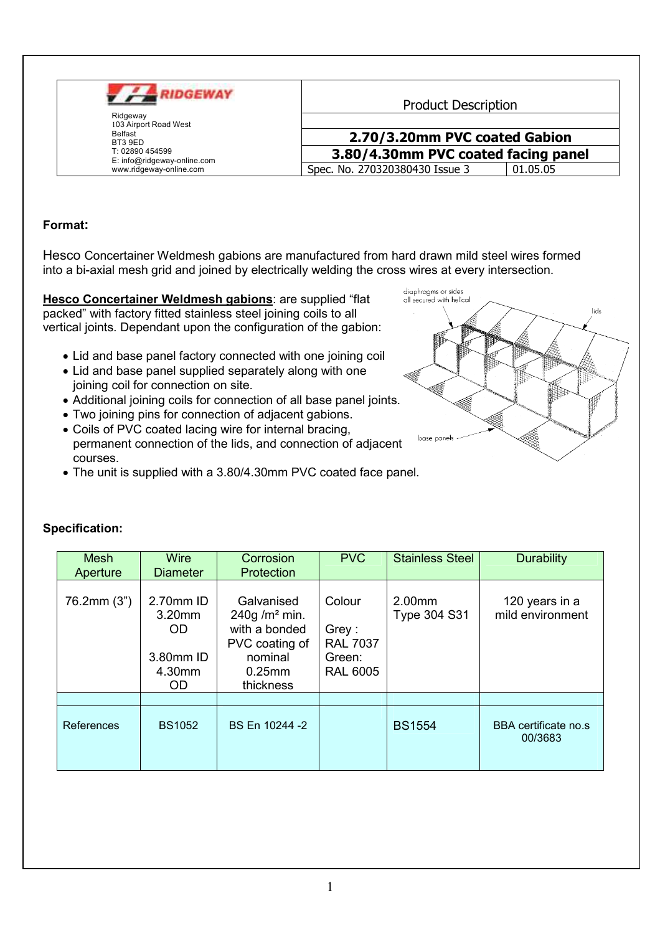

**Product Description** 

#### 2.70/3.20mm PVC coated Gabion 3.80/4.30mm PVC coated facing panel Spec. No. 270320380430 Issue 01.05.05

# Format:

Hesco Concertainer Weldmesh gabions are manufactured from hard drawn mild steel wires formed into a bi-axial mesh grid and joined by electrically welding the cross wires at every intersection.

Hesco Concertainer Weldmesh gabions: are supplied "flat packed" with factory fitted stainless steel joining coils to all vertical joints. Dependant upon the configuration of the gabion:

- Lid and base panel factory connected with one joining coil
- Lid and base panel supplied separately along with one joining coil for connection on site.
- Additional joining coils for connection of all base panel joints.
- . Two joining pins for connection of adjacent gabions.
- Coils of PVC coated lacing wire for internal bracing, permanent connection of the lids, and connection of adjacent courses.
- The unit is supplied with a 3.80/4.30mm PVC coated face panel.



| <b>Mesh</b><br>Aperture | <b>Wire</b><br><b>Diameter</b>                              | Corrosion<br>Protection                                                                                        | <b>PVC</b>                                                      | <b>Stainless Steel</b> | <b>Durability</b>                  |
|-------------------------|-------------------------------------------------------------|----------------------------------------------------------------------------------------------------------------|-----------------------------------------------------------------|------------------------|------------------------------------|
| 76.2mm (3")             | 2.70mm ID<br>$3.20$ mm<br>OD.<br>3.80mm ID<br>4.30mm<br>OD. | Galvanised<br>240g/m <sup>2</sup> min.<br>with a bonded<br>PVC coating of<br>nominal<br>$0.25$ mm<br>thickness | Colour<br>Grey:<br><b>RAL 7037</b><br>Green:<br><b>RAL 6005</b> | 2.00mm<br>Type 304 S31 | 120 years in a<br>mild environment |
|                         |                                                             |                                                                                                                |                                                                 |                        |                                    |
| References              | <b>BS1052</b>                                               | BS En 10244 -2                                                                                                 |                                                                 | <b>BS1554</b>          | BBA certificate no.s<br>00/3683    |

## Specification: